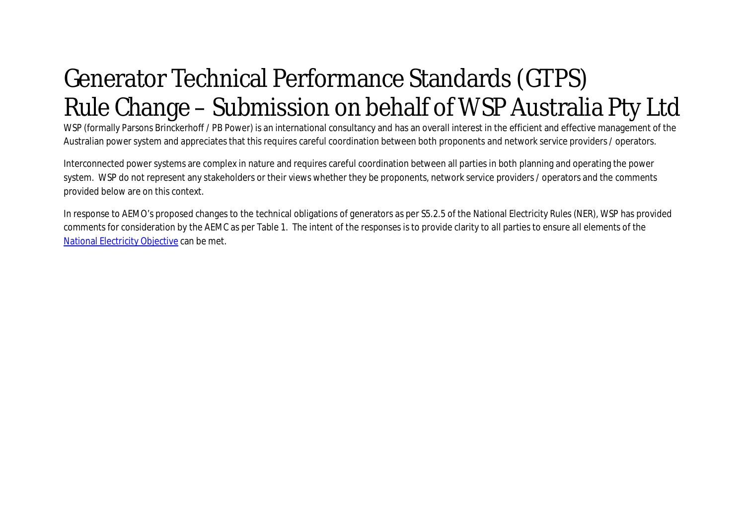## Generator Technical Performance Standards (GTPS) Rule Change – Submission on behalf of WSP Australia Pty Ltd

WSP (formally Parsons Brinckerhoff / PB Power) is an international consultancy and has an overall interest in the efficient and effective management of the Australian power system and appreciates that this requires careful coordination between both proponents and network service providers / operators.

Interconnected power systems are complex in nature and requires careful coordination between all parties in both planning and operating the power system. WSP do not represent any stakeholders or their views whether they be proponents, network service providers / operators and the comments provided below are on this context.

In response to AEMO's proposed changes to the technical obligations of generators as per S5.2.5 of the National Electricity Rules (NER), WSP has provided comments for consideration by the AEMC as per Table 1. The intent of the responses is to provide clarity to all parties to ensure all elements of the National Electricity Objective can be met.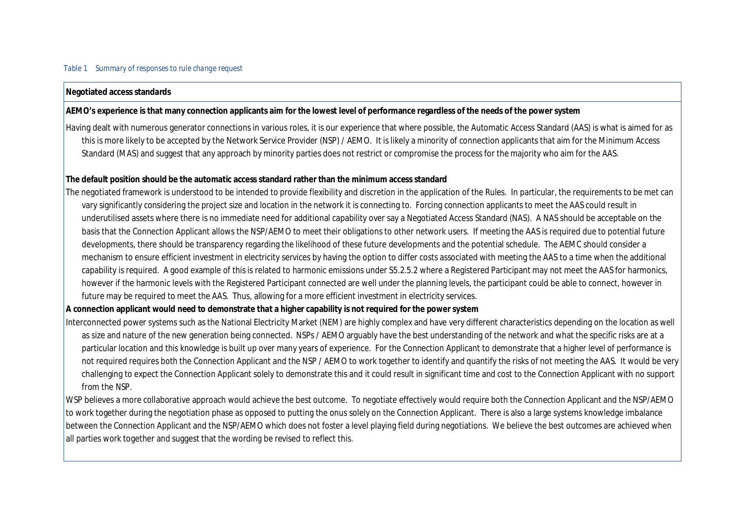## *Table 1 Summary of responses to rule change request*

## **Negotiated access standards**

**AEMO's experience is that many connection applicants aim for the lowest level of performance regardless of the needs of the power system**

Having dealt with numerous generator connections in various roles, it is our experience that where possible, the Automatic Access Standard (AAS) is what is aimed for as this is more likely to be accepted by the Network Service Provider (NSP) / AEMO. It is likely a minority of connection applicants that aim for the Minimum Access Standard (MAS) and suggest that any approach by minority parties does not restrict or compromise the process for the majority who aim for the AAS.

**The default position should be the automatic access standard rather than the minimum access standard**

The negotiated framework is understood to be intended to provide flexibility and discretion in the application of the Rules. In particular, the requirements to be met can vary significantly considering the project size and location in the network it is connecting to. Forcing connection applicants to meet the AAS could result in underutilised assets where there is no immediate need for additional capability over say a Negotiated Access Standard (NAS). A NAS should be acceptable on the basis that the Connection Applicant allows the NSP/AEMO to meet their obligations to other network users. If meeting the AAS is required due to potential future developments, there should be transparency regarding the likelihood of these future developments and the potential schedule. The AEMC should consider a mechanism to ensure efficient investment in electricity services by having the option to differ costs associated with meeting the AAS to a time when the additional capability is required. A good example of this is related to harmonic emissions under S5.2.5.2 where a Registered Participant may not meet the AAS for harmonics, however if the harmonic levels with the Registered Participant connected are well under the planning levels, the participant could be able to connect, however in future may be required to meet the AAS. Thus, allowing for a more efficient investment in electricity services.

**A connection applicant would need to demonstrate that a higher capability is not required for the power system**

Interconnected power systems such as the National Electricity Market (NEM) are highly complex and have very different characteristics depending on the location as well as size and nature of the new generation being connected. NSPs / AEMO arguably have the best understanding of the network and what the specific risks are at a particular location and this knowledge is built up over many years of experience. For the Connection Applicant to demonstrate that a higher level of performance is not required requires *both* the Connection Applicant *and* the NSP / AEMO to work together to identify and quantify the risks of not meeting the AAS. It would be very challenging to expect the Connection Applicant solely to demonstrate this and it could result in significant time and cost to the Connection Applicant with no support from the NSP.

WSP believes a more collaborative approach would achieve the best outcome. To negotiate effectively would require both the Connection Applicant and the NSP/AEMO to work together during the negotiation phase as opposed to putting the onus solely on the Connection Applicant. There is also a large systems knowledge imbalance between the Connection Applicant and the NSP/AEMO which does not foster a level playing field during negotiations. We believe the best outcomes are achieved when all parties work together and suggest that the wording be revised to reflect this.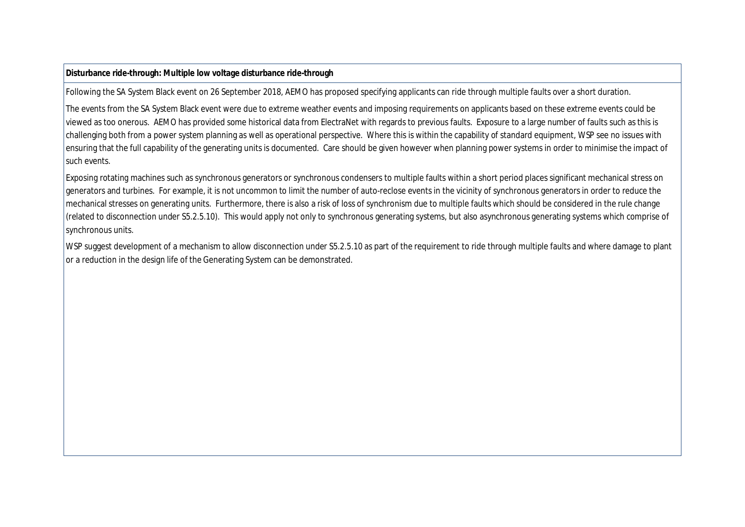**Disturbance ride-through: Multiple low voltage disturbance ride-through**

Following the SA System Black event on 26 September 2018, AEMO has proposed specifying applicants can ride through multiple faults over a short duration.

The events from the SA System Black event were due to extreme weather events and imposing requirements on applicants based on these extreme events could be viewed as too onerous. AEMO has provided some historical data from ElectraNet with regards to previous faults. Exposure to a large number of faults such as this is challenging both from a power system planning as well as operational perspective. Where this is within the capability of standard equipment, WSP see no issues with ensuring that the full capability of the generating units is documented. Care should be given however when planning power systems in order to minimise the impact of such events.

Exposing rotating machines such as synchronous generators or synchronous condensers to multiple faults within a short period places significant mechanical stress on generators and turbines. For example, it is not uncommon to limit the number of auto-reclose events in the vicinity of synchronous generators in order to reduce the mechanical stresses on generating units. Furthermore, there is also a risk of loss of synchronism due to multiple faults which should be considered in the rule change (related to disconnection under S5.2.5.10). This would apply not only to synchronous generating systems, but also asynchronous generating systems which comprise of synchronous units.

WSP suggest development of a mechanism to allow disconnection under S5.2.5.10 as part of the requirement to ride through multiple faults and where damage to plant or a reduction in the design life of the Generating System can be demonstrated.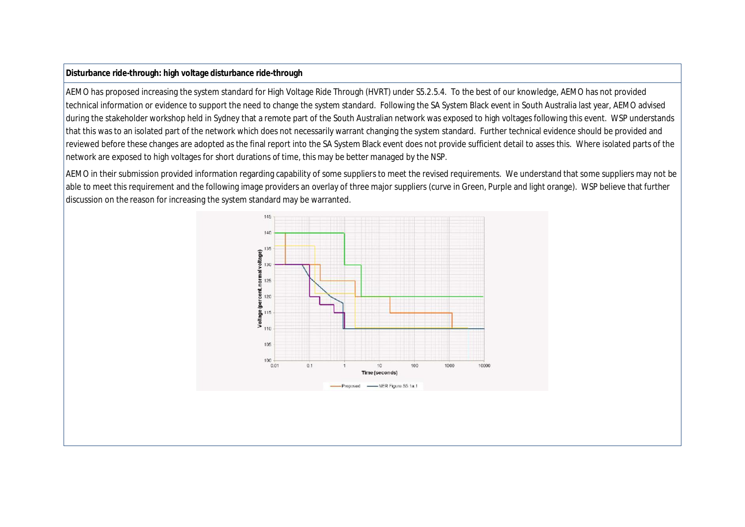## **Disturbance ride-through: high voltage disturbance ride-through**

AEMO has proposed increasing the system standard for High Voltage Ride Through (HVRT) under S5.2.5.4. To the best of our knowledge, AEMO has not provided technical information or evidence to support the need to change the system standard. Following the SA System Black event in South Australia last year, AEMO advised during the stakeholder workshop held in Sydney that a remote part of the South Australian network was exposed to high voltages following this event. WSP understands that this was to an isolated part of the network which does not necessarily warrant changing the system standard. Further technical evidence should be provided and reviewed before these changes are adopted as the final report into the SA System Black event does not provide sufficient detail to asses this. Where isolated parts of the network are exposed to high voltages for short durations of time, this may be better managed by the NSP.

AEMO in their submission provided information regarding capability of some suppliers to meet the revised requirements. We understand that some suppliers may not be able to meet this requirement and the following image providers an overlay of three major suppliers (curve in Green, Purple and light orange). WSP believe that further discussion on the reason for increasing the system standard may be warranted.